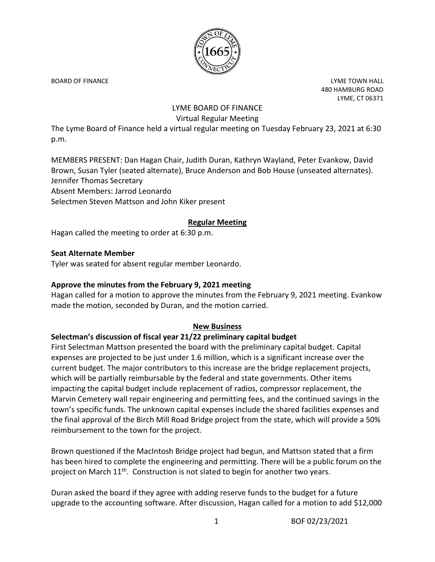

BOARD OF FINANCE **Little Struck and Struck and Struck and Struck and Struck and Struck and Struck and Struck and Struck and Struck and Struck and Struck and Struck and Struck and Struck and Struck and Struck and Struck and** 480 HAMBURG ROAD LYME, CT 06371

# LYME BOARD OF FINANCE Virtual Regular Meeting

The Lyme Board of Finance held a virtual regular meeting on Tuesday February 23, 2021 at 6:30 p.m.

MEMBERS PRESENT: Dan Hagan Chair, Judith Duran, Kathryn Wayland, Peter Evankow, David Brown, Susan Tyler (seated alternate), Bruce Anderson and Bob House (unseated alternates). Jennifer Thomas Secretary Absent Members: Jarrod Leonardo Selectmen Steven Mattson and John Kiker present

## **Regular Meeting**

Hagan called the meeting to order at 6:30 p.m.

#### **Seat Alternate Member**

Tyler was seated for absent regular member Leonardo.

#### **Approve the minutes from the February 9, 2021 meeting**

Hagan called for a motion to approve the minutes from the February 9, 2021 meeting. Evankow made the motion, seconded by Duran, and the motion carried.

### **New Business**

#### **Selectman's discussion of fiscal year 21/22 preliminary capital budget**

First Selectman Mattson presented the board with the preliminary capital budget. Capital expenses are projected to be just under 1.6 million, which is a significant increase over the current budget. The major contributors to this increase are the bridge replacement projects, which will be partially reimbursable by the federal and state governments. Other items impacting the capital budget include replacement of radios, compressor replacement, the Marvin Cemetery wall repair engineering and permitting fees, and the continued savings in the town's specific funds. The unknown capital expenses include the shared facilities expenses and the final approval of the Birch Mill Road Bridge project from the state, which will provide a 50% reimbursement to the town for the project.

Brown questioned if the MacIntosh Bridge project had begun, and Mattson stated that a firm has been hired to complete the engineering and permitting. There will be a public forum on the project on March  $11<sup>th</sup>$ . Construction is not slated to begin for another two years.

Duran asked the board if they agree with adding reserve funds to the budget for a future upgrade to the accounting software. After discussion, Hagan called for a motion to add \$12,000

1 BOF 02/23/2021